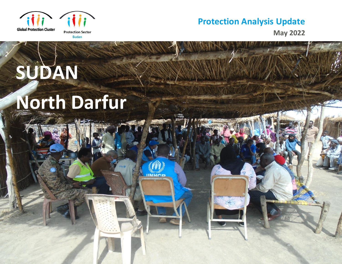

**SUDAN**

**May 2022**

# **North Darfur**

**IINHCB**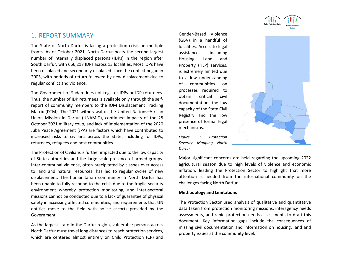

# 1. REPORT SUMMARY

The State of North Darfur is facing a protection crisis on multiple fronts. As of October 2021, North Darfur hosts the second largest number of internally displaced persons (IDPs) in the region after South Darfur, with 666,217 IDPs across 13 localities. Most IDPs have been displaced and secondarily displaced since the conflict began in 2003, with periods of return followed by new displacement due to regular conflict and violence.

The Government of Sudan does not register IDPs or IDP returnees. Thus, the number of IDP returnees is available only through the selfreport of community members to the IOM Displacement Tracking Matrix (DTM). The 2021 withdrawal of the United Nations–African Union Mission in Darfur (UNAMID), continued impacts of the 25 October 2021 military coup, and lack of implementation of the 2020 Juba Peace Agreement (JPA) are factors which have contributed to increased risks to civilians across the State, including for IDPs, returnees, refugees and host communities.

The Protection of Civilians is further impacted due to the low capacity of State authorities and the large-scale presence of armed groups. Inter-communal violence, often precipitated by clashes over access to land and natural resources, has led to regular cycles of new displacement. The humanitarian community in North Darfur has been unable to fully respond to the crisis due to the fragile security environment whereby protection monitoring, and inter-sectoral missions cannot be conducted due to a lack of guarantee of physical safety in accessing affected communities, and requirements that UN entities move to the field with police escorts provided by the Government.

As the largest state in the Darfur region, vulnerable persons across North Darfur must travel long distances to reach protection services, which are centered almost entirely on Child Protection (CP) and

Gender-Based Violence (GBV) in a handful of localities. Access to legal assistance, including Housing, Land and Property (HLP) services, is extremely limited due to a low understanding of communities on processes required to obtain critical civil documentation, the low capacity of the State Civil Registry and the low presence of formal legal mechanisms.

*Figure 1: Protection Severity Mapping North Darfur*



Major significant concerns are held regarding the upcoming 2022 agricultural season due to high levels of violence and economic inflation, leading the Protection Sector to highlight that more attention is needed from the international community on the challenges facing North Darfur.

#### **Methodology and Limitations**

The Protection Sector used analysis of qualitative and quantitative data taken from protection monitoring missions, interagency needs assessments, and rapid protection needs assessments to draft this document. Key information gaps include the consequences of missing civil documentation and information on housing, land and property issues at the community level.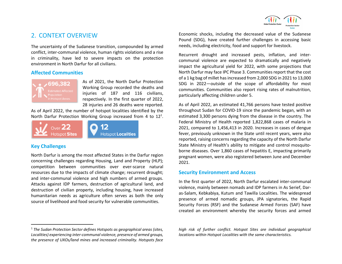# 2. CONTEXT OVERVIEW

The uncertainty of the Sudanese transition, compounded by armed conflict, inter-communal violence, human rights violations and a rise in criminality, have led to severe impacts on the protection environment in North Darfur for all civilians.

#### **Affected Communities**



As of 2021, the North Darfur Protection Working Group recorded the deaths and injuries of 187 and 116 civilians, respectively. In the first quarter of 2022, 28 injuries and 26 deaths were reported.

As of April 2022, the number of hotspot localities identified by the North Darfur Protection Working Group increased from 4 to  $12<sup>1</sup>$ .



#### **Key Challenges**

North Darfur is among the most affected States in the Darfur region concerning challenges regarding Housing, Land and Property (HLP); competition between communities over ever-scarce natural resources due to the impacts of climate change; recurrent drought; and inter-communal violence and high numbers of armed groups. Attacks against IDP farmers, destruction of agricultural land, and destruction of civilian property, including housing, have increased humanitarian needs as agriculture often serves as both the only source of livelihood and food security for vulnerable communities.

<sup>1</sup> *The Sudan Protection Sector defines Hotspots as geographical areas (sites, Localities) experiencing inter-communal violence, presence of armed groups, the presence of UXOs/land mines and increased criminality. Hotspots face* 

Economic shocks, including the decreased value of the Sudanese Pound (SDG), have created further challenges in accessing basic needs, including electricity, food and support for livestock.

Recurrent drought and increased pests, inflation, and intercommunal violence are expected to dramatically and negatively impact the agricultural yield for 2022, with some projections that North Darfur may face IPC Phase 3. Communities report that the cost of a 1 kg bag of millet has increased from 2,000 SDG in 2021 to 13,000 SDG in 2022—outside of the scope of affordability for most communities. Communities also report rising rates of malnutrition, particularly affecting children under 5.

As of April 2022, an estimated 41,766 persons have tested positive throughout Sudan for COVID-19 since the pandemic began, with an estimated 3,300 persons dying from the disease in the country. The Federal Ministry of Health reported 1,822,868 cases of malaria in 2021, compared to 1,456,413 in 2020. Increases in cases of dengue fever, previously unknown in the State until recent years, were also reported, raising concerns regarding the capacity of the North Darfur State Ministry of Health's ability to mitigate and control mosquitoborne diseases. Over 1,860 cases of hepatitis E, impacting primarily pregnant women, were also registered between June and December 2021.

#### **Security Environment and Access**

In the first quarter of 2022, North Darfur escalated inter-communal violence, mainly between nomads and IDP farmers in As Serief, Daras-Salam, Kebkabiya, Kutum and Tawilla Localities. The widespread presence of armed nomadic groups, JPA signatories, the Rapid Security Forces (RSF) and the Sudanese Armed Forces (SAF) have created an environment whereby the security forces and armed

*high risk of further conflict. Hotspot Sites are individual geographical locations within Hotspot Localities with the same characteristics.*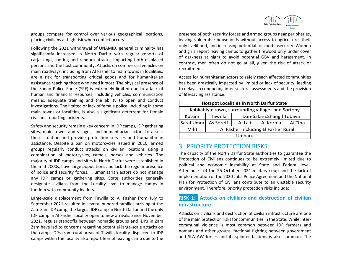

groups compete for control over various geographical locations, placing civilians at high risk when conflict occurs.

Following the 2021 withdrawal of UNAMID, general criminality has significantly increased in North Darfur with regular reports of carjackings, looting and random attacks, impacting both displaced persons and the host community. Attacks on commercial vehicles on main roadways, including from Al Fasher to main towns in localities, are a risk for transporting critical goods and for humanitarian assistance reaching those who need it most. The physical presence of the Sudan Police Force (SPF) is extremely limited due to a lack of human and financial resources, including vehicles, communication means, adequate training and the ability to open and conduct investigations. The limited or lack of female police, including in some main towns or localities, is also a significant deterrent for female civilians reporting incidents.

Safety and security remain a key concern in IDP camps, IDP gathering sites, main towns and villages, and humanitarian actors to assess their situation and provide protection services and humanitarian assistance. Despite a ban on motorcycles issued in 2016, armed groups regularly conduct attacks on civilian locations using a combination of motorcycles, camels, horses and vehicles. The majority of IDP camps and sites in North Darfur were established in the mid-2000s, have large populations and lack the regular presence of police and security forces. Humanitarian actors do not manage any IDP camps or gathering sites. State authorities generally designate civilians from the Locality level to manage camps in tandem with community leaders.

Large-scale displacement from Tawilla to Al Fasher from July to September 2021 resulted in several hundred families arriving at the Zam Zam IDP camp, the largest IDP camp in North Darfur and the only IDP camp in Al Fasher locality open to new arrivals. Since November 2021, regular standoffs between nomadic groups and IDPs in Zam Zam have led to concerns regarding potential large-scale attacks on the camp. IDPs from rural areas of Tawilla locality displaced to IDP camps within the locality also report fear of leaving camp due to the

presence of both security forces and armed groups near peripheries, leaving vulnerable households without access to agriculture, their only livelihood, and increasing potential for food insecurity. Women and girls report leaving camps to gather firewood only under cover of darkness at night to avoid potential GBV and harassment. In contrast, men often do not go at all, given the risk of attack or recruitment.

Access for humanitarian actors to safely reach affected communities has been drastically impacted by limited or lack of security, leading to delays in conducting inter-sectoral assessments and the provision of life-saving assistance.

| <b>Hotspot Localities in North Darfur State</b>   |                                     |                          |          |         |
|---------------------------------------------------|-------------------------------------|--------------------------|----------|---------|
| Kabkabiya: town, surrounding villages and Sortony |                                     |                          |          |         |
| Kutum                                             | Tawilla                             | DareSalam:Shangil Tobaya |          |         |
| Saraf Umra                                        | As Sereif                           | Al Lait                  | Al Korma | Al Tina |
| Milit                                             | Al Fasher including El Fasher Rural |                          |          |         |
| Umbaru                                            |                                     |                          |          |         |

# 3. PRIORITY PROTECTION RISKS

The capacity of the North Darfur State authorities to guarantee the Protection of Civilians continues to be extremely limited due to political and economic instability at State and Federal level. Aftershocks of the 25 October 2021 military coup and the lack of implementation of the 2020 Juba Peace Agreement and the National Plan for Protection of Civilians contribute to an unstable security environment. Therefore, priority protection risks include:

# **RISK 1: Attacks on civilians and destruction of civilian infrastructure**

Attacks on civilians and destruction of civilian infrastructure are one of the main protection risks for communities in the State. While intercommunal violence is most common between IDP farmers and nomads and other groups, factional fighting between government and SLA AW forces and its splinter factions is also common. The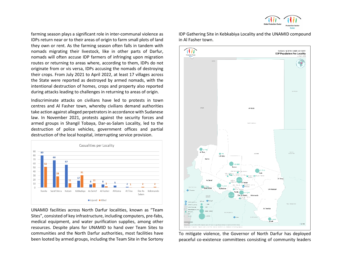farming season plays a significant role in inter-communal violence as IDPs return near or to their areas of origin to farm small plots of land they own or rent. As the farming season often falls in tandem with nomads migrating their livestock, like in other parts of Darfur, nomads will often accuse IDP farmers of infringing upon migration routes or returning to areas where, according to them, IDPs do not originate from or vis versa, IDPs accusing the nomads of destroying their crops. From July 2021 to April 2022, at least 17 villages across the State were reported as destroyed by armed nomads, with the intentional destruction of homes, crops and property also reported during attacks leading to challenges in returning to areas of origin.

Indiscriminate attacks on civilians have led to protests in town centres and Al Fasher town, whereby civilians demand authorities take action against alleged perpetrators in accordance with Sudanese law. In November 2021, protests against the security forces and armed groups in Shangil Tobaya, Dar-as-Salam Locality, led to the destruction of police vehicles, government offices and partial destruction of the local hospital, interrupting service provision.



UNAMID facilities across North Darfur localities, known as "Team Sites", consisted of key infrastructure, including computers, pre-fabs, medical equipment, and water purification supplies, among other resources. Despite plans for UNAMID to hand over Team Sites to communities and the North Darfur authorities, most facilities have been looted by armed groups, including the Team Site in the Sortony

it i i SUDAN: NORTH DARFUR STATE **IDP Population Per Locality** CHAD Al Malha  $• 3.748$ Al Tina NUCH<br>NN-OCRON  $@ 45$ Um Baru Kerno ta aar Um Kadada Office **CENTIS Citation**  $\circ$ Ö. uneo (na son **UNITCH** AL Tawisha **DPGs** Al Latt O Li Fula

IDP Gathering Site in Kebkabiya Locality and the UNAMID compound in Al Fasher town.

To mitigate violence, the Governor of North Darfur has deployed peaceful co-existence committees consisting of community leaders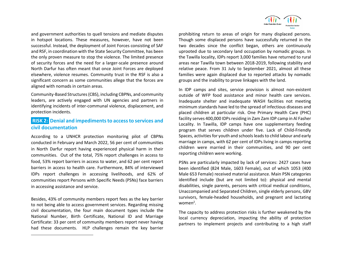and government authorities to quell tensions and mediate disputes in hotspot locations. These measures, however, have not been successful. Instead, the deployment of Joint Forces consisting of SAF and RSF, in coordination with the State Security Committee, has been the only proven measure to stop the violence. The limited presence of security forces and the need for a larger-scale presence around North Darfur has often meant that once Joint Forces are deployed elsewhere, violence resumes. Community trust in the RSF is also a significant concern as some communities allege that the forces are aligned with nomads in certain areas.

Community-Based Structures (CBS), including CBPNs, and community leaders, are actively engaged with UN agencies and partners in identifying incidents of inter-communal violence, displacement, and protection incidents.

# **RISK 2: Denial and impediments to access to services and civil documentation**

According to a UNHCR protection monitoring pilot of CBPNs conducted in February and March 2022, 56 per cent of communities in North Darfur report having experienced physical harm in their communities. Out of the total, 75% report challenges in access to food, 53% report barriers in access to water, and 62 per cent report barriers in access to health care. Furthermore, 84% of interviewed IDPs report challenges in accessing livelihoods, and 62% of communities report Persons with Specific Needs (PSNs) face barriers in accessing assistance and service.

Besides, 43% of community members report fees as the key barrier to not being able to access government services. Regarding missing civil documentation, the four main document types include the National Number, Birth Certificate, National ID and Marriage Certificate: 33 per cent of community members report never having had these documents. HLP challenges remain the key barrier



prohibiting return to areas of origin for many displaced persons. Though some displaced persons have successfully returned in the two decades since the conflict began, others are continuously uprooted due to secondary land occupation by nomadic groups. In the Tawilla locality, IDPs report 3,000 families have returned to rural areas near Tawilla town between 2018-2019, following stability and relative peace. From 31 July to September 2021, almost all these families were again displaced due to reported attacks by nomadic groups and the inability to prove linkages with the land.

In IDP camps and sites, service provision is almost non-existent outside of WFP food assistance and minor health care services. Inadequate shelter and inadequate WASH facilities not meeting minimum standards have led to the spread of infectious diseases and placed children at particular risk. One Primary Health Care (PHC) facility serves 400,000 IDPs residing in Zam Zam IDP camp in Al Fasher Locality. In Tawilla, IDP camps have one supplementary feeding program that serves children under five. Lack of Child-Friendly Spaces, activities for youth and schools leads to child labour and early marriage in camps, with 62 per cent of IDPs living in camps reporting children were married in their communities, and 90 per cent reporting children were working.

PSNs are particularly impacted by lack of services: 2427 cases have been identified (824 Male, 1603 Female), out of which 1053 (400 Male 653 Female) received material assistance. Main PSN categories identified include (but are not limited to): physical and mental disabilities, single parents, persons with critical medical conditions, Unaccompanied and Separated Children, single elderly persons, GBV survivors, female-headed households, and pregnant and lactating women<sup>2</sup>.

The capacity to address protection risks is further weakened by the local currency depreciation, impacting the ability of protection partners to implement projects and contributing to a high staff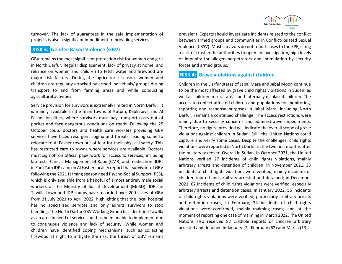turnover. The lack of guarantees in the safe implementation of projects is also a significant impediment to providing services.

### **RISK 3: Gender-Based Violence (GBV)**

GBV remains the most significant protection risk for women and girls in North Darfur. Regular displacement, lack of privacy at home, and reliance on women and children to fetch water and firewood are major risk factors. During the agricultural season, women and children are regularly attacked by armed individuals/ groups during transport to and from farming areas and while conducting agricultural activities.

Service provision for survivors is extremely limited in North Darfur. It is mainly available in the main towns of Kutum, Kebkabiya and Al Fasher localities, where survivors must pay transport costs out of pocket and face dangerous conditions on roads. Following the 25 October coup, doctors and health care workers providing GBV services have faced resurgent stigma and threats, leading some to relocate to Al Fasher town out of fear for their physical safety. This has restricted care to towns where services are available. Doctors must sign off on official paperwork for access to services, including lab tests, Clinical Management of Rape (CMR) and medication. IDPs in Zam Zam IDP camp in Al Fasher locality report that survivors of GBV following the 2021 farming season need Psycho-Social Support (PSS), which is only available from a handful of almost entirely male social workers at the Ministry of Social Development (MoSD). IDPs in Tawilla town and IDP camps have recorded over 200 cases of GBV from 31 July 2021 to April 2022, highlighting that the local hospital has no specialised services and only admits survivors to stop bleeding. The North Darfur GBV Working Group has identified Tawilla as an area in need of services but has been unable to implement due to continuous violence and lack of security. While women and children have identified coping mechanisms, such as collecting firewood at night to mitigate the risk, the threat of GBV remains

prevalent. Experts should investigate incidents related to the conflict between armed groups and communities in Conflict-Related Sexual Violence (CRSV). Most survivors do not report cases to the SPF, citing a lack of trust in the authorities to open an investigation, high levels of impunity for alleged perpetrators and intimidation by security forces and armed groups.

# **RISK 4: Grave violations against children**

Children in the Darfur states of Jabal Mara and Jabal Moon continue to be the most affected by grave child rights violations in Sudan, as well as children in rural areas and internally displaced children. The access to conflict-affected children and populations for monitoring, reporting and response purposes in Jabal Mara, including North Darfur, remains a continued challenge. The access restrictions were mainly due to security concerns and administrative impediments. Therefore, no figure provided will indicate the overall scope of grave violations against children in Sudan. Still, the United Nations could capture and verify some cases. Despite the challenges, child rights violations were reported in North Darfur in the two first months after the military takeover. Overall in Sudan, in October 2021, the United Nations verified 27 incidents of child rights violations, mainly arbitrary arrests and detention of children; in November 2021, 33 incidents of child rights violations were verified, mainly incidents of children injured and arbitrary arrested and detained; in December 2021, 62 incidents of child rights violations were verified, especially arbitrary arrests and detention cases; in January 2022, 56 incidents of child rights violations were verified, particularly arbitrary arrests and detention cases; in February, 34 incidents of child rights violations were confirmed, mainly maiming cases; and at the moment of reporting one case of maiming in March 2022. The United Nations also received 82 credible reports of children arbitrary arrested and detained in January (7), February (62) and March (13).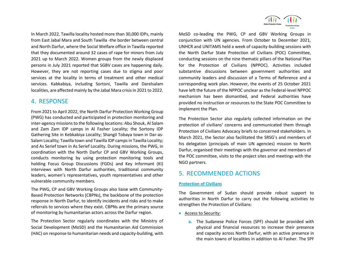In March 2022, Tawilla locality hosted more than 30,000 IDPs, mainly from East Jabal Mara and South Tawilla -the border between central and North Darfur, where the Social Welfare office in Tawilla reported that they documented around 32 cases of rape for minors from July 2021 up to March 2022. Women groups from the newly displaced persons in July 2021 reported that SGBV cases are happening daily. However, they are not reporting cases due to stigma and poor services at the locality in terms of treatment and other medical services. Kabkabiya, including Sortoni, Tawilla and Darelsalam localities, are affected mainly by the Jabal Mara crisis in 2021 to 2022.

# 4. RESPONSE

From 2021 to April 2022, the North Darfur Protection Working Group (PWG) has conducted and participated in protection monitoring and inter-agency missions to the following locations: Abu Shouk, Al Salam and Zam Zam IDP camps in Al Fasher Locality; the Sortony IDP Gathering Site in Kebkabiya Locality; Shangil Tobaya town in Dar-as-Salam Locality; Tawilla town and Tawilla IDP camps in Tawilla Locality; and As Serief town in As Serief Locality. During missions, the PWG, in coordination with the North Darfur CP and GBV Working Groups, conducts monitoring by using protection monitoring tools and holding Focus Group Discussions (FGDs) and Key Informant (KI) interviews with North Darfur authorities, traditional community leaders, women's representatives, youth representatives and other vulnerable community members.

The PWG, CP and GBV Working Groups also liaise with Community-Based Protection Networks (CBPNs), the backbone of the protection response in North Darfur, to identify incidents and risks and to make referrals to services where they exist. CBPNs are the primary source of monitoring by humanitarian actors across the Darfur region.

The Protection Sector regularly coordinates with the Ministry of Social Development (MoSD) and the Humanitarian Aid Commission (HAC) on response to humanitarian needs and capacity-building, with



MoSD co-leading the PWG, CP and GBV Working Groups in conjunction with UN agencies. From October to December 2021, UNHCR and UNITAMS held a week of capacity-building sessions with the North Darfur State Protection of Civilians (POC) Committee, conducting sessions on the nine thematic pillars of the National Plan for the Protection of Civilians (NPPOC). Activities included substantive discussions between government authorities and community leaders and discussion of a Terms of Reference and a corresponding work plan. However, the events of 25 October 2021 have left the future of the NPPOC unclear as the Federal-level NPPOC mechanism has been dismantled, and Federal authorities have provided no instruction or resources to the State POC Committee to implement the Plan.

The Protection Sector also regularly collected information on the protection of civilians' concerns and communicated them through Protection of Civilians Advocacy briefs to concerned stakeholders. In March 2021, the Sector also facilitated the SRSG's and members of his delegation (principals of main UN agencies) mission to North Darfur, organised their meetings with the governor and members of the POC committee, visits to the project sites and meetings with the NGO partners.

# 5. RECOMMENDED ACTIONS

#### **Protection of Civilians**

The Government of Sudan should provide robust support to authorities in North Darfur to carry out the following activities to strengthen the Protection of Civilians:

- Access to Security:
	- **a.** The Sudanese Police Forces (SPF) should be provided with physical and financial resources to increase their presence and capacity across North Darfur, with an active presence in the main towns of localities in addition to Al Fasher. The SPF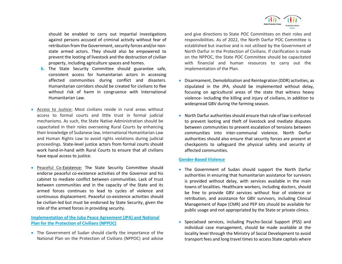

should be enabled to carry out impartial investigations against persons accused of criminal activity without fear of retribution from the Government, security forces and/or nonstate armed actors. They should also be empowered to prevent the looting of livestock and the destruction of civilian property, including agriculture spaces and homes.

- **b.** The State Security Committee should guarantee safe, consistent access for humanitarian actors in accessing affected communities during conflict and disasters. Humanitarian corridors should be created for civilians to flee without risk of harm in congruence with International Humanitarian Law.
- Access to Justice: Most civilians reside in rural areas without access to formal courts and little trust in formal judicial mechanisms. As such, the State Native Administration should be capacitated in their roles overseeing Rural Courts by enhancing their knowledge of Sudanese law, International Humanitarian Law and Human Rights Law to avoid rights violations during judicial proceedings. State-level justice actors from formal courts should work hand-in-hand with Rural Courts to ensure that all civilians have equal access to justice.
- Peaceful Co-Existence: The State Security Committee should endorse peaceful co-existence activities of the Governor and his cabinet to mediate conflict between communities. Lack of trust between communities and in the capacity of the State and its armed forces continues to lead to cycles of violence and continuous displacement. Peaceful co-existence activities should be civilian-led but must be endorsed by State Security, given the role of the armed forces in providing security.

#### **Implementation of the Juba Peace Agreement (JPA) and National Plan for the Protection of Civilians (NPPOC)**

• The Government of Sudan should clarify the importance of the National Plan on the Protection of Civilians (NPPOC) and advise

and give directions to State POC Committees on their roles and responsibilities. As of 2022, the North Darfur POC Committee is established but inactive and is not utilised by the Government of North Darfur in the Protection of Civilians. If clarification is made on the NPPOC, the State POC Committee should be capacitated with financial and human resources to carry out the implementation of the Plan.

- Disarmament, Demobilization and Reintegration (DDR) activities, as stipulated in the JPA, should be implemented without delay, focusing on agricultural areas of the state that witness heavy violence- including the killing and injury of civilians, in addition to widespread GBV during the farming season.
- North Darfur authorities should ensure that rule of law is enforced to prevent looting and theft of livestock and mediate disputes between communities to prevent escalation of tensions between communities into inter-communal violence. North Darfur authorities should also ensure that security forces are present at checkpoints to safeguard the physical safety and security of affected communities.

#### **Gender-Based Violence**

- The Government of Sudan should support the North Darfur authorities in ensuring that humanitarian assistance for survivors is provided without delay, with services available in the main towns of localities. Healthcare workers, including doctors, should be free to provide GBV services without fear of violence or retribution, and assistance for GBV survivors, including Clinical Management of Rape (CMR) and PEP kits should be available for public usage and not appropriated by the State or private clinics.
- Specialised services, including Psycho-Social Support (PSS) and individual case management, should be made available at the locality level through the Ministry of Social Development to avoid transport fees and long travel times to access State capitals where